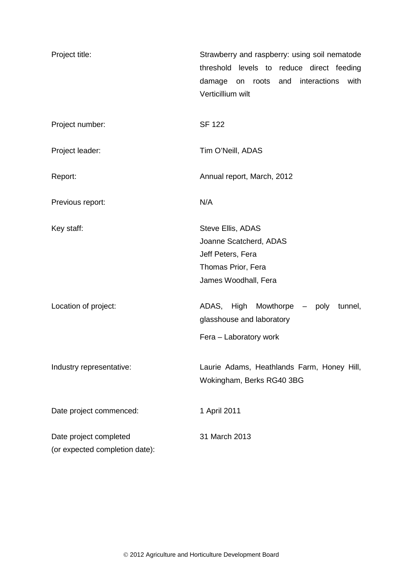| Project title:                 | Strawberry and raspberry: using soil nematode        |  |  |
|--------------------------------|------------------------------------------------------|--|--|
|                                | threshold levels to reduce direct feeding            |  |  |
|                                | interactions<br>damage<br>and<br>with<br>roots<br>on |  |  |
|                                | Verticillium wilt                                    |  |  |
| Project number:                | <b>SF 122</b>                                        |  |  |
|                                |                                                      |  |  |
| Project leader:                | Tim O'Neill, ADAS                                    |  |  |
| Report:                        | Annual report, March, 2012                           |  |  |
| Previous report:               | N/A                                                  |  |  |
| Key staff:                     | Steve Ellis, ADAS                                    |  |  |
|                                | Joanne Scatcherd, ADAS                               |  |  |
|                                | Jeff Peters, Fera                                    |  |  |
|                                | Thomas Prior, Fera                                   |  |  |
|                                | James Woodhall, Fera                                 |  |  |
| Location of project:           | High Mowthorpe - poly<br>ADAS,<br>tunnel,            |  |  |
|                                | glasshouse and laboratory                            |  |  |
|                                | Fera - Laboratory work                               |  |  |
| Industry representative:       | Laurie Adams, Heathlands Farm, Honey Hill,           |  |  |
|                                | Wokingham, Berks RG40 3BG                            |  |  |
| Date project commenced:        | 1 April 2011                                         |  |  |
| Date project completed         | 31 March 2013                                        |  |  |
| (or expected completion date): |                                                      |  |  |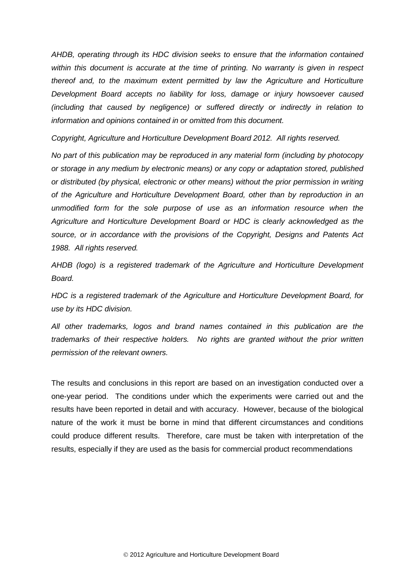*AHDB, operating through its HDC division seeks to ensure that the information contained within this document is accurate at the time of printing. No warranty is given in respect thereof and, to the maximum extent permitted by law the Agriculture and Horticulture Development Board accepts no liability for loss, damage or injury howsoever caused (including that caused by negligence) or suffered directly or indirectly in relation to information and opinions contained in or omitted from this document.* 

*Copyright, Agriculture and Horticulture Development Board 2012. All rights reserved.*

*No part of this publication may be reproduced in any material form (including by photocopy or storage in any medium by electronic means) or any copy or adaptation stored, published or distributed (by physical, electronic or other means) without the prior permission in writing of the Agriculture and Horticulture Development Board, other than by reproduction in an unmodified form for the sole purpose of use as an information resource when the Agriculture and Horticulture Development Board or HDC is clearly acknowledged as the source, or in accordance with the provisions of the Copyright, Designs and Patents Act 1988. All rights reserved.* 

*AHDB (logo) is a registered trademark of the Agriculture and Horticulture Development Board.*

*HDC is a registered trademark of the Agriculture and Horticulture Development Board, for use by its HDC division.*

*All other trademarks, logos and brand names contained in this publication are the trademarks of their respective holders. No rights are granted without the prior written permission of the relevant owners.*

The results and conclusions in this report are based on an investigation conducted over a one-year period. The conditions under which the experiments were carried out and the results have been reported in detail and with accuracy. However, because of the biological nature of the work it must be borne in mind that different circumstances and conditions could produce different results. Therefore, care must be taken with interpretation of the results, especially if they are used as the basis for commercial product recommendations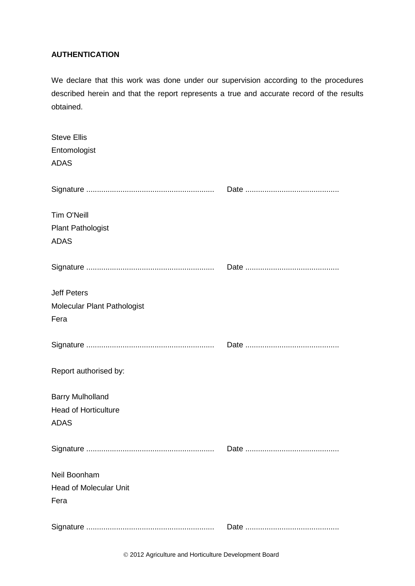# **AUTHENTICATION**

We declare that this work was done under our supervision according to the procedures described herein and that the report represents a true and accurate record of the results obtained.

| <b>Steve Ellis</b>            |  |
|-------------------------------|--|
| Entomologist                  |  |
| <b>ADAS</b>                   |  |
|                               |  |
|                               |  |
| Tim O'Neill                   |  |
| <b>Plant Pathologist</b>      |  |
| <b>ADAS</b>                   |  |
|                               |  |
|                               |  |
| <b>Jeff Peters</b>            |  |
| Molecular Plant Pathologist   |  |
| Fera                          |  |
|                               |  |
|                               |  |
|                               |  |
| Report authorised by:         |  |
| <b>Barry Mulholland</b>       |  |
| <b>Head of Horticulture</b>   |  |
| <b>ADAS</b>                   |  |
|                               |  |
|                               |  |
|                               |  |
| Neil Boonham                  |  |
| <b>Head of Molecular Unit</b> |  |
| Fera                          |  |
|                               |  |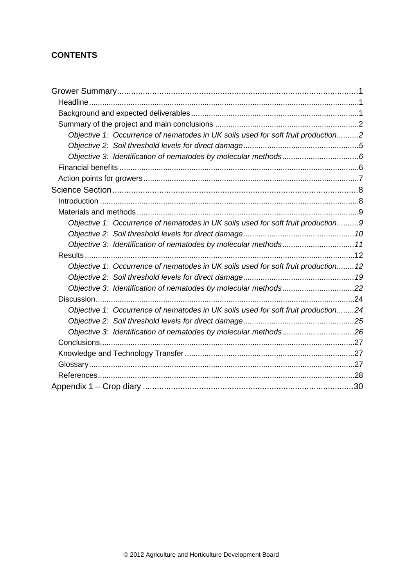# **CONTENTS**

| Objective 1: Occurrence of nematodes in UK soils used for soft fruit production2  |  |
|-----------------------------------------------------------------------------------|--|
|                                                                                   |  |
|                                                                                   |  |
|                                                                                   |  |
|                                                                                   |  |
|                                                                                   |  |
|                                                                                   |  |
|                                                                                   |  |
| Objective 1: Occurrence of nematodes in UK soils used for soft fruit production9  |  |
|                                                                                   |  |
| Objective 3: Identification of nematodes by molecular methods11                   |  |
|                                                                                   |  |
| Objective 1: Occurrence of nematodes in UK soils used for soft fruit production12 |  |
|                                                                                   |  |
| Objective 3: Identification of nematodes by molecular methods22                   |  |
|                                                                                   |  |
| Objective 1: Occurrence of nematodes in UK soils used for soft fruit production24 |  |
|                                                                                   |  |
| Objective 3: Identification of nematodes by molecular methods26                   |  |
|                                                                                   |  |
|                                                                                   |  |
|                                                                                   |  |
|                                                                                   |  |
|                                                                                   |  |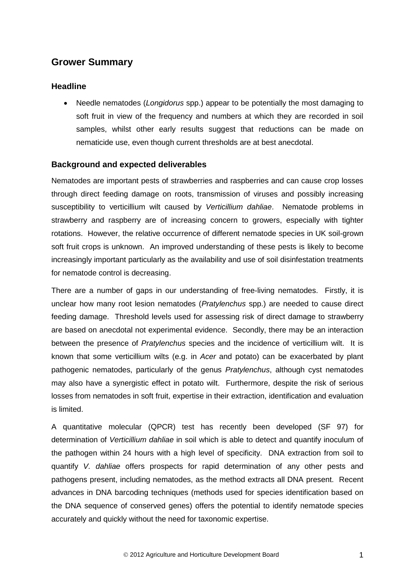# <span id="page-4-0"></span>**Grower Summary**

## <span id="page-4-1"></span>**Headline**

• Needle nematodes (*Longidorus* spp.) appear to be potentially the most damaging to soft fruit in view of the frequency and numbers at which they are recorded in soil samples, whilst other early results suggest that reductions can be made on nematicide use, even though current thresholds are at best anecdotal.

## <span id="page-4-2"></span>**Background and expected deliverables**

Nematodes are important pests of strawberries and raspberries and can cause crop losses through direct feeding damage on roots, transmission of viruses and possibly increasing susceptibility to verticillium wilt caused by *Verticillium dahliae*. Nematode problems in strawberry and raspberry are of increasing concern to growers, especially with tighter rotations. However, the relative occurrence of different nematode species in UK soil-grown soft fruit crops is unknown. An improved understanding of these pests is likely to become increasingly important particularly as the availability and use of soil disinfestation treatments for nematode control is decreasing.

There are a number of gaps in our understanding of free-living nematodes. Firstly, it is unclear how many root lesion nematodes (*Pratylenchus* spp.) are needed to cause direct feeding damage. Threshold levels used for assessing risk of direct damage to strawberry are based on anecdotal not experimental evidence. Secondly, there may be an interaction between the presence of *Pratylenchus* species and the incidence of verticillium wilt. It is known that some verticillium wilts (e.g. in *Acer* and potato) can be exacerbated by plant pathogenic nematodes, particularly of the genus *Pratylenchus*, although cyst nematodes may also have a synergistic effect in potato wilt. Furthermore, despite the risk of serious losses from nematodes in soft fruit, expertise in their extraction, identification and evaluation is limited.

A quantitative molecular (QPCR) test has recently been developed (SF 97) for determination of *Verticillium dahliae* in soil which is able to detect and quantify inoculum of the pathogen within 24 hours with a high level of specificity. DNA extraction from soil to quantify *V. dahliae* offers prospects for rapid determination of any other pests and pathogens present, including nematodes, as the method extracts all DNA present. Recent advances in DNA barcoding techniques (methods used for species identification based on the DNA sequence of conserved genes) offers the potential to identify nematode species accurately and quickly without the need for taxonomic expertise.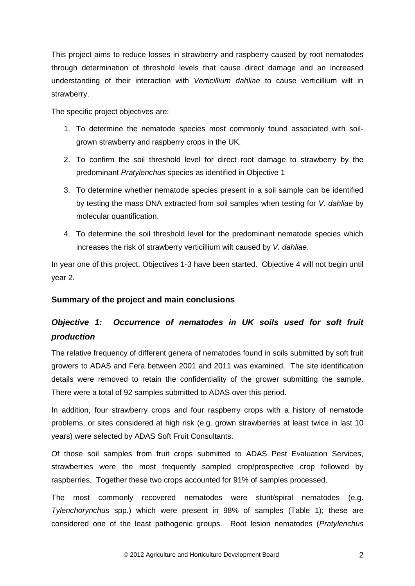This project aims to reduce losses in strawberry and raspberry caused by root nematodes through determination of threshold levels that cause direct damage and an increased understanding of their interaction with *Verticillium dahliae* to cause verticillium wilt in strawberry.

The specific project objectives are:

- 1. To determine the nematode species most commonly found associated with soilgrown strawberry and raspberry crops in the UK.
- 2. To confirm the soil threshold level for direct root damage to strawberry by the predominant *Pratylenchus* species as identified in Objective 1
- 3. To determine whether nematode species present in a soil sample can be identified by testing the mass DNA extracted from soil samples when testing for *V. dahliae* by molecular quantification.
- 4. To determine the soil threshold level for the predominant nematode species which increases the risk of strawberry verticillium wilt caused by *V. dahliae*.

In year one of this project, Objectives 1-3 have been started. Objective 4 will not begin until year 2.

# <span id="page-5-0"></span>**Summary of the project and main conclusions**

# <span id="page-5-1"></span>*Objective 1: Occurrence of nematodes in UK soils used for soft fruit production*

The relative frequency of different genera of nematodes found in soils submitted by soft fruit growers to ADAS and Fera between 2001 and 2011 was examined. The site identification details were removed to retain the confidentiality of the grower submitting the sample. There were a total of 92 samples submitted to ADAS over this period.

In addition, four strawberry crops and four raspberry crops with a history of nematode problems, or sites considered at high risk (e.g. grown strawberries at least twice in last 10 years) were selected by ADAS Soft Fruit Consultants.

Of those soil samples from fruit crops submitted to ADAS Pest Evaluation Services, strawberries were the most frequently sampled crop/prospective crop followed by raspberries. Together these two crops accounted for 91% of samples processed.

The most commonly recovered nematodes were stunt/spiral nematodes (e.g. *Tylenchorynchus* spp.) which were present in 98% of samples (Table 1); these are considered one of the least pathogenic groups. Root lesion nematodes (*Pratylenchus*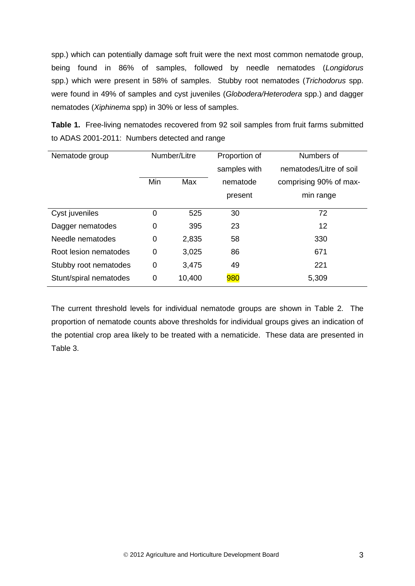spp.) which can potentially damage soft fruit were the next most common nematode group, being found in 86% of samples, followed by needle nematodes (*Longidorus*  spp.) which were present in 58% of samples. Stubby root nematodes (*Trichodorus* spp. were found in 49% of samples and cyst juveniles (*Globodera/Heterodera* spp.) and dagger nematodes (*Xiphinema* spp) in 30% or less of samples.

**Table 1.** Free-living nematodes recovered from 92 soil samples from fruit farms submitted to ADAS 2001-2011: Numbers detected and range

| Nematode group         | Number/Litre |        | Proportion of | Numbers of              |
|------------------------|--------------|--------|---------------|-------------------------|
|                        |              |        | samples with  | nematodes/Litre of soil |
|                        | Min          | Max    | nematode      | comprising 90% of max-  |
|                        |              |        | present       | min range               |
| Cyst juveniles         | 0            | 525    | 30            | 72                      |
| Dagger nematodes       | 0            | 395    | 23            | 12                      |
| Needle nematodes       | 0            | 2,835  | 58            | 330                     |
| Root lesion nematodes  | 0            | 3,025  | 86            | 671                     |
| Stubby root nematodes  | 0            | 3,475  | 49            | 221                     |
| Stunt/spiral nematodes | 0            | 10,400 | 980           | 5,309                   |

The current threshold levels for individual nematode groups are shown in Table 2. The proportion of nematode counts above thresholds for individual groups gives an indication of the potential crop area likely to be treated with a nematicide. These data are presented in Table 3.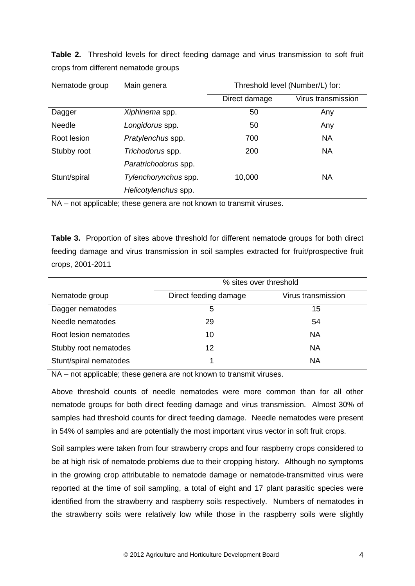| Nematode group | Main genera          | Threshold level (Number/L) for: |                    |
|----------------|----------------------|---------------------------------|--------------------|
|                |                      | Direct damage                   | Virus transmission |
| Dagger         | Xiphinema spp.       | 50                              | Any                |
| <b>Needle</b>  | Longidorus spp.      | 50                              | Any                |
| Root lesion    | Pratylenchus spp.    | 700                             | <b>NA</b>          |
| Stubby root    | Trichodorus spp.     | 200                             | <b>NA</b>          |
|                | Paratrichodorus spp. |                                 |                    |
| Stunt/spiral   | Tylenchorynchus spp. | 10,000                          | NA                 |
|                | Helicotylenchus spp. |                                 |                    |

**Table 2.** Threshold levels for direct feeding damage and virus transmission to soft fruit crops from different nematode groups

NA – not applicable; these genera are not known to transmit viruses.

**Table 3.** Proportion of sites above threshold for different nematode groups for both direct feeding damage and virus transmission in soil samples extracted for fruit/prospective fruit crops, 2001-2011

|                        | % sites over threshold                      |           |  |  |  |
|------------------------|---------------------------------------------|-----------|--|--|--|
| Nematode group         | Virus transmission<br>Direct feeding damage |           |  |  |  |
| Dagger nematodes       | 5                                           | 15        |  |  |  |
| Needle nematodes       | 29                                          | 54        |  |  |  |
| Root lesion nematodes  | 10                                          | <b>NA</b> |  |  |  |
| Stubby root nematodes  | 12                                          | <b>NA</b> |  |  |  |
| Stunt/spiral nematodes |                                             | <b>NA</b> |  |  |  |

NA – not applicable; these genera are not known to transmit viruses.

Above threshold counts of needle nematodes were more common than for all other nematode groups for both direct feeding damage and virus transmission. Almost 30% of samples had threshold counts for direct feeding damage. Needle nematodes were present in 54% of samples and are potentially the most important virus vector in soft fruit crops.

Soil samples were taken from four strawberry crops and four raspberry crops considered to be at high risk of nematode problems due to their cropping history. Although no symptoms in the growing crop attributable to nematode damage or nematode-transmitted virus were reported at the time of soil sampling, a total of eight and 17 plant parasitic species were identified from the strawberry and raspberry soils respectively. Numbers of nematodes in the strawberry soils were relatively low while those in the raspberry soils were slightly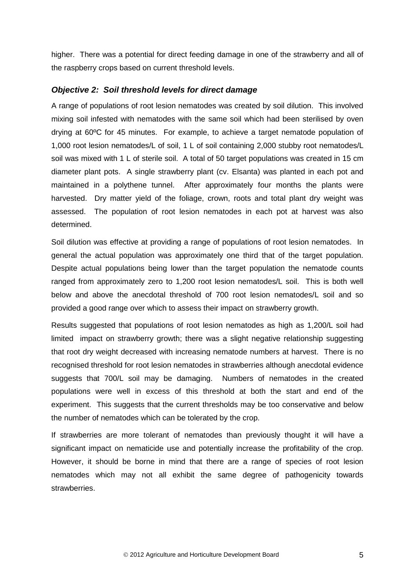higher. There was a potential for direct feeding damage in one of the strawberry and all of the raspberry crops based on current threshold levels.

#### <span id="page-8-0"></span>*Objective 2: Soil threshold levels for direct damage*

A range of populations of root lesion nematodes was created by soil dilution. This involved mixing soil infested with nematodes with the same soil which had been sterilised by oven drying at 60ºC for 45 minutes. For example, to achieve a target nematode population of 1,000 root lesion nematodes/L of soil, 1 L of soil containing 2,000 stubby root nematodes/L soil was mixed with 1 L of sterile soil. A total of 50 target populations was created in 15 cm diameter plant pots. A single strawberry plant (cv. Elsanta) was planted in each pot and maintained in a polythene tunnel. After approximately four months the plants were harvested. Dry matter yield of the foliage, crown, roots and total plant dry weight was assessed. The population of root lesion nematodes in each pot at harvest was also determined.

Soil dilution was effective at providing a range of populations of root lesion nematodes. In general the actual population was approximately one third that of the target population. Despite actual populations being lower than the target population the nematode counts ranged from approximately zero to 1,200 root lesion nematodes/L soil. This is both well below and above the anecdotal threshold of 700 root lesion nematodes/L soil and so provided a good range over which to assess their impact on strawberry growth.

Results suggested that populations of root lesion nematodes as high as 1,200/L soil had limited impact on strawberry growth; there was a slight negative relationship suggesting that root dry weight decreased with increasing nematode numbers at harvest. There is no recognised threshold for root lesion nematodes in strawberries although anecdotal evidence suggests that 700/L soil may be damaging. Numbers of nematodes in the created populations were well in excess of this threshold at both the start and end of the experiment. This suggests that the current thresholds may be too conservative and below the number of nematodes which can be tolerated by the crop.

If strawberries are more tolerant of nematodes than previously thought it will have a significant impact on nematicide use and potentially increase the profitability of the crop. However, it should be borne in mind that there are a range of species of root lesion nematodes which may not all exhibit the same degree of pathogenicity towards strawberries.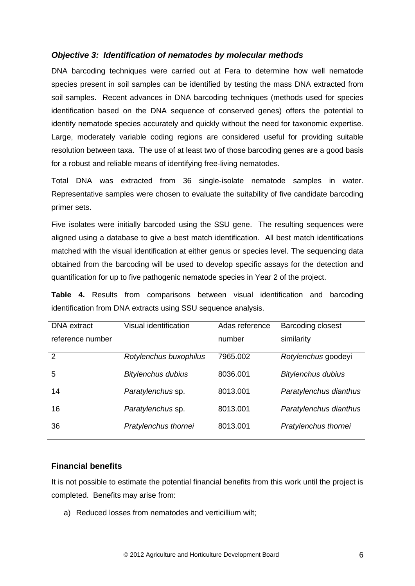## <span id="page-9-0"></span>*Objective 3: Identification of nematodes by molecular methods*

DNA barcoding techniques were carried out at Fera to determine how well nematode species present in soil samples can be identified by testing the mass DNA extracted from soil samples. Recent advances in DNA barcoding techniques (methods used for species identification based on the DNA sequence of conserved genes) offers the potential to identify nematode species accurately and quickly without the need for taxonomic expertise. Large, moderately variable coding regions are considered useful for providing suitable resolution between taxa. The use of at least two of those barcoding genes are a good basis for a robust and reliable means of identifying free-living nematodes.

Total DNA was extracted from 36 single-isolate nematode samples in water. Representative samples were chosen to evaluate the suitability of five candidate barcoding primer sets.

Five isolates were initially barcoded using the SSU gene. The resulting sequences were aligned using a database to give a best match identification. All best match identifications matched with the visual identification at either genus or species level. The sequencing data obtained from the barcoding will be used to develop specific assays for the detection and quantification for up to five pathogenic nematode species in Year 2 of the project.

**Table 4.** Results from comparisons between visual identification and barcoding identification from DNA extracts using SSU sequence analysis.

| <b>DNA</b> extract | Visual identification     | Adas reference | <b>Barcoding closest</b>  |
|--------------------|---------------------------|----------------|---------------------------|
| reference number   |                           | number         | similarity                |
| $\overline{2}$     | Rotylenchus buxophilus    | 7965.002       | Rotylenchus goodeyi       |
| 5                  | <b>Bitylenchus dubius</b> | 8036.001       | <b>Bitylenchus dubius</b> |
| 14                 | Paratylenchus sp.         | 8013.001       | Paratylenchus dianthus    |
| 16                 | Paratylenchus sp.         | 8013.001       | Paratylenchus dianthus    |
| 36                 | Pratylenchus thornei      | 8013.001       | Pratylenchus thornei      |
|                    |                           |                |                           |

#### <span id="page-9-1"></span>**Financial benefits**

It is not possible to estimate the potential financial benefits from this work until the project is completed. Benefits may arise from:

a) Reduced losses from nematodes and verticillium wilt;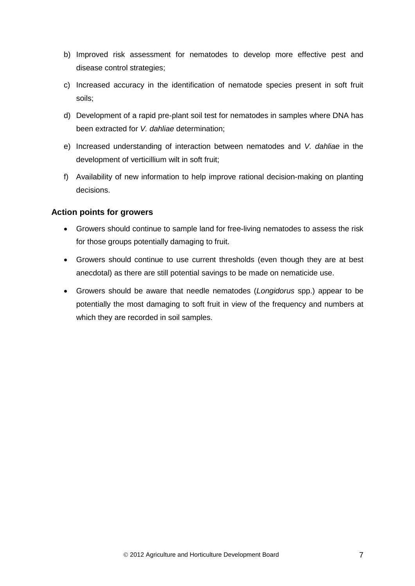- b) Improved risk assessment for nematodes to develop more effective pest and disease control strategies;
- c) Increased accuracy in the identification of nematode species present in soft fruit soils;
- d) Development of a rapid pre-plant soil test for nematodes in samples where DNA has been extracted for *V. dahliae* determination;
- e) Increased understanding of interaction between nematodes and *V. dahliae* in the development of verticillium wilt in soft fruit;
- f) Availability of new information to help improve rational decision-making on planting decisions.

## <span id="page-10-0"></span>**Action points for growers**

- Growers should continue to sample land for free-living nematodes to assess the risk for those groups potentially damaging to fruit.
- Growers should continue to use current thresholds (even though they are at best anecdotal) as there are still potential savings to be made on nematicide use.
- Growers should be aware that needle nematodes (*Longidorus* spp.) appear to be potentially the most damaging to soft fruit in view of the frequency and numbers at which they are recorded in soil samples.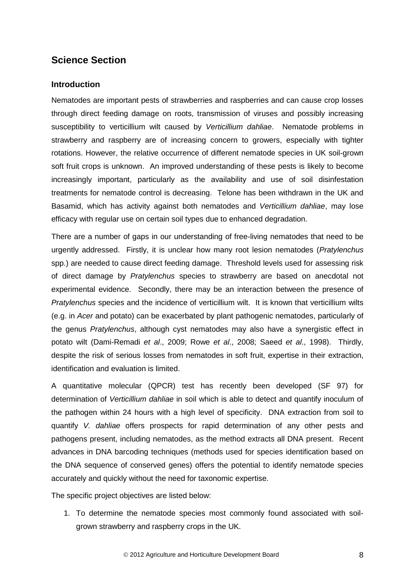# <span id="page-11-0"></span>**Science Section**

#### <span id="page-11-1"></span>**Introduction**

Nematodes are important pests of strawberries and raspberries and can cause crop losses through direct feeding damage on roots, transmission of viruses and possibly increasing susceptibility to verticillium wilt caused by *Verticillium dahliae*. Nematode problems in strawberry and raspberry are of increasing concern to growers, especially with tighter rotations. However, the relative occurrence of different nematode species in UK soil-grown soft fruit crops is unknown. An improved understanding of these pests is likely to become increasingly important, particularly as the availability and use of soil disinfestation treatments for nematode control is decreasing. Telone has been withdrawn in the UK and Basamid, which has activity against both nematodes and *Verticillium dahliae*, may lose efficacy with regular use on certain soil types due to enhanced degradation.

There are a number of gaps in our understanding of free-living nematodes that need to be urgently addressed. Firstly, it is unclear how many root lesion nematodes (*Pratylenchus* spp.) are needed to cause direct feeding damage. Threshold levels used for assessing risk of direct damage by *Pratylenchus* species to strawberry are based on anecdotal not experimental evidence. Secondly, there may be an interaction between the presence of *Pratylenchus* species and the incidence of verticillium wilt. It is known that verticillium wilts (e.g. in *Acer* and potato) can be exacerbated by plant pathogenic nematodes, particularly of the genus *Pratylenchus*, although cyst nematodes may also have a synergistic effect in potato wilt (Dami-Remadi *et al*., 2009; Rowe *et al*., 2008; Saeed *et al*., 1998). Thirdly, despite the risk of serious losses from nematodes in soft fruit, expertise in their extraction, identification and evaluation is limited.

A quantitative molecular (QPCR) test has recently been developed (SF 97) for determination of *Verticillium dahliae* in soil which is able to detect and quantify inoculum of the pathogen within 24 hours with a high level of specificity. DNA extraction from soil to quantify *V. dahliae* offers prospects for rapid determination of any other pests and pathogens present, including nematodes, as the method extracts all DNA present. Recent advances in DNA barcoding techniques (methods used for species identification based on the DNA sequence of conserved genes) offers the potential to identify nematode species accurately and quickly without the need for taxonomic expertise.

The specific project objectives are listed below:

1. To determine the nematode species most commonly found associated with soilgrown strawberry and raspberry crops in the UK.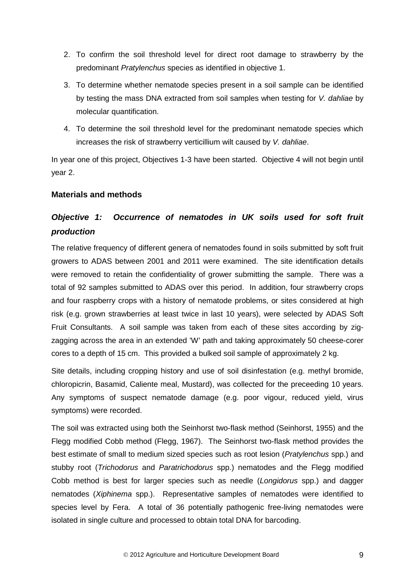- 2. To confirm the soil threshold level for direct root damage to strawberry by the predominant *Pratylenchus* species as identified in objective 1.
- 3. To determine whether nematode species present in a soil sample can be identified by testing the mass DNA extracted from soil samples when testing for *V. dahliae* by molecular quantification.
- 4. To determine the soil threshold level for the predominant nematode species which increases the risk of strawberry verticillium wilt caused by *V. dahliae*.

In year one of this project, Objectives 1-3 have been started. Objective 4 will not begin until year 2.

## <span id="page-12-0"></span>**Materials and methods**

# <span id="page-12-1"></span>*Objective 1: Occurrence of nematodes in UK soils used for soft fruit production*

The relative frequency of different genera of nematodes found in soils submitted by soft fruit growers to ADAS between 2001 and 2011 were examined. The site identification details were removed to retain the confidentiality of grower submitting the sample. There was a total of 92 samples submitted to ADAS over this period. In addition, four strawberry crops and four raspberry crops with a history of nematode problems, or sites considered at high risk (e.g. grown strawberries at least twice in last 10 years), were selected by ADAS Soft Fruit Consultants. A soil sample was taken from each of these sites according by zigzagging across the area in an extended 'W' path and taking approximately 50 cheese-corer cores to a depth of 15 cm. This provided a bulked soil sample of approximately 2 kg.

Site details, including cropping history and use of soil disinfestation (e.g. methyl bromide, chloropicrin, Basamid, Caliente meal, Mustard), was collected for the preceeding 10 years. Any symptoms of suspect nematode damage (e.g. poor vigour, reduced yield, virus symptoms) were recorded.

The soil was extracted using both the Seinhorst two-flask method (Seinhorst, 1955) and the Flegg modified Cobb method (Flegg, 1967). The Seinhorst two-flask method provides the best estimate of small to medium sized species such as root lesion (*Pratylenchus* spp.) and stubby root (*Trichodorus* and *Paratrichodorus* spp.) nematodes and the Flegg modified Cobb method is best for larger species such as needle (*Longidorus* spp.) and dagger nematodes (*Xiphinema* spp.). Representative samples of nematodes were identified to species level by Fera. A total of 36 potentially pathogenic free-living nematodes were isolated in single culture and processed to obtain total DNA for barcoding.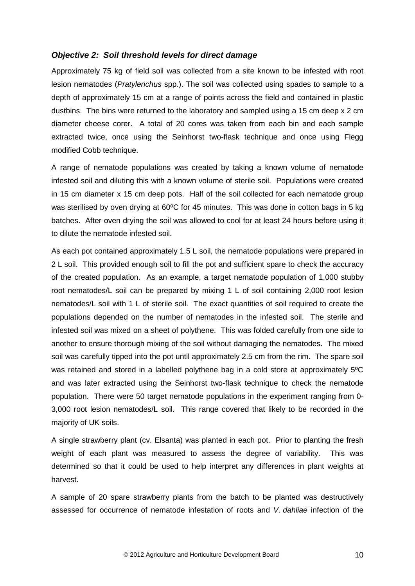#### <span id="page-13-0"></span>*Objective 2: Soil threshold levels for direct damage*

Approximately 75 kg of field soil was collected from a site known to be infested with root lesion nematodes (*Pratylenchus* spp.). The soil was collected using spades to sample to a depth of approximately 15 cm at a range of points across the field and contained in plastic dustbins. The bins were returned to the laboratory and sampled using a 15 cm deep x 2 cm diameter cheese corer. A total of 20 cores was taken from each bin and each sample extracted twice, once using the Seinhorst two-flask technique and once using Flegg modified Cobb technique.

A range of nematode populations was created by taking a known volume of nematode infested soil and diluting this with a known volume of sterile soil. Populations were created in 15 cm diameter x 15 cm deep pots. Half of the soil collected for each nematode group was sterilised by oven drying at 60°C for 45 minutes. This was done in cotton bags in 5 kg batches. After oven drying the soil was allowed to cool for at least 24 hours before using it to dilute the nematode infested soil.

As each pot contained approximately 1.5 L soil, the nematode populations were prepared in 2 L soil. This provided enough soil to fill the pot and sufficient spare to check the accuracy of the created population. As an example, a target nematode population of 1,000 stubby root nematodes/L soil can be prepared by mixing 1 L of soil containing 2,000 root lesion nematodes/L soil with 1 L of sterile soil. The exact quantities of soil required to create the populations depended on the number of nematodes in the infested soil. The sterile and infested soil was mixed on a sheet of polythene. This was folded carefully from one side to another to ensure thorough mixing of the soil without damaging the nematodes. The mixed soil was carefully tipped into the pot until approximately 2.5 cm from the rim. The spare soil was retained and stored in a labelled polythene bag in a cold store at approximately 5ºC and was later extracted using the Seinhorst two-flask technique to check the nematode population. There were 50 target nematode populations in the experiment ranging from 0- 3,000 root lesion nematodes/L soil. This range covered that likely to be recorded in the majority of UK soils.

A single strawberry plant (cv. Elsanta) was planted in each pot. Prior to planting the fresh weight of each plant was measured to assess the degree of variability. This was determined so that it could be used to help interpret any differences in plant weights at harvest.

A sample of 20 spare strawberry plants from the batch to be planted was destructively assessed for occurrence of nematode infestation of roots and *V. dahliae* infection of the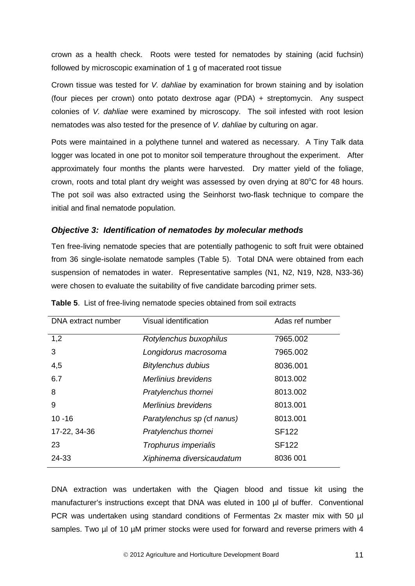crown as a health check. Roots were tested for nematodes by staining (acid fuchsin) followed by microscopic examination of 1 g of macerated root tissue

Crown tissue was tested for *V. dahliae* by examination for brown staining and by isolation (four pieces per crown) onto potato dextrose agar (PDA) + streptomycin. Any suspect colonies of *V. dahliae* were examined by microscopy. The soil infested with root lesion nematodes was also tested for the presence of *V. dahliae* by culturing on agar.

Pots were maintained in a polythene tunnel and watered as necessary. A Tiny Talk data logger was located in one pot to monitor soil temperature throughout the experiment. After approximately four months the plants were harvested. Dry matter yield of the foliage, crown, roots and total plant dry weight was assessed by oven drying at  $80^{\circ}$ C for 48 hours. The pot soil was also extracted using the Seinhorst two-flask technique to compare the initial and final nematode population.

# <span id="page-14-0"></span>*Objective 3: Identification of nematodes by molecular methods*

Ten free-living nematode species that are potentially pathogenic to soft fruit were obtained from 36 single-isolate nematode samples (Table 5). Total DNA were obtained from each suspension of nematodes in water. Representative samples (N1, N2, N19, N28, N33-36) were chosen to evaluate the suitability of five candidate barcoding primer sets.

| DNA extract number | Visual identification       | Adas ref number |
|--------------------|-----------------------------|-----------------|
| 1,2                | Rotylenchus buxophilus      | 7965.002        |
| 3                  | Longidorus macrosoma        | 7965.002        |
| 4,5                | <b>Bitylenchus dubius</b>   | 8036.001        |
| 6.7                | Merlinius brevidens         | 8013.002        |
| 8                  | Pratylenchus thornei        | 8013.002        |
| 9                  | Merlinius brevidens         | 8013.001        |
| $10 - 16$          | Paratylenchus sp (cf nanus) | 8013.001        |
| 17-22, 34-36       | Pratylenchus thornei        | <b>SF122</b>    |
| 23                 | Trophurus imperialis        | <b>SF122</b>    |
| 24-33              | Xiphinema diversicaudatum   | 8036 001        |

|  |  | Table 5. List of free-living nematode species obtained from soil extracts |  |  |
|--|--|---------------------------------------------------------------------------|--|--|
|--|--|---------------------------------------------------------------------------|--|--|

DNA extraction was undertaken with the Qiagen blood and tissue kit using the manufacturer's instructions except that DNA was eluted in 100 µl of buffer. Conventional PCR was undertaken using standard conditions of Fermentas 2x master mix with 50 µl samples. Two µl of 10 µM primer stocks were used for forward and reverse primers with 4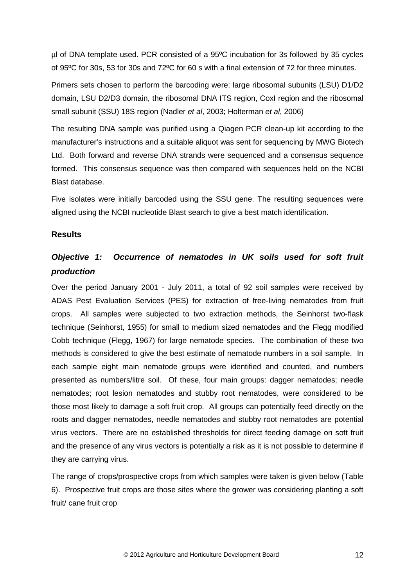µl of DNA template used. PCR consisted of a 95ºC incubation for 3s followed by 35 cycles of 95ºC for 30s, 53 for 30s and 72ºC for 60 s with a final extension of 72 for three minutes.

Primers sets chosen to perform the barcoding were: large ribosomal subunits (LSU) D1/D2 domain, LSU D2/D3 domain, the ribosomal DNA ITS region, CoxI region and the ribosomal small subunit (SSU) 18S region (Nadler *et al*, 2003; Holterman *et al*, 2006)

The resulting DNA sample was purified using a Qiagen PCR clean-up kit according to the manufacturer's instructions and a suitable aliquot was sent for sequencing by MWG Biotech Ltd. Both forward and reverse DNA strands were sequenced and a consensus sequence formed. This consensus sequence was then compared with sequences held on the NCBI Blast database.

Five isolates were initially barcoded using the SSU gene. The resulting sequences were aligned using the NCBI nucleotide Blast search to give a best match identification.

#### <span id="page-15-0"></span>**Results**

# <span id="page-15-1"></span>*Objective 1: Occurrence of nematodes in UK soils used for soft fruit production*

Over the period January 2001 - July 2011, a total of 92 soil samples were received by ADAS Pest Evaluation Services (PES) for extraction of free-living nematodes from fruit crops. All samples were subjected to two extraction methods, the Seinhorst two-flask technique (Seinhorst, 1955) for small to medium sized nematodes and the Flegg modified Cobb technique (Flegg, 1967) for large nematode species. The combination of these two methods is considered to give the best estimate of nematode numbers in a soil sample. In each sample eight main nematode groups were identified and counted, and numbers presented as numbers/litre soil. Of these, four main groups: dagger nematodes; needle nematodes; root lesion nematodes and stubby root nematodes, were considered to be those most likely to damage a soft fruit crop. All groups can potentially feed directly on the roots and dagger nematodes, needle nematodes and stubby root nematodes are potential virus vectors. There are no established thresholds for direct feeding damage on soft fruit and the presence of any virus vectors is potentially a risk as it is not possible to determine if they are carrying virus.

The range of crops/prospective crops from which samples were taken is given below (Table 6). Prospective fruit crops are those sites where the grower was considering planting a soft fruit/ cane fruit crop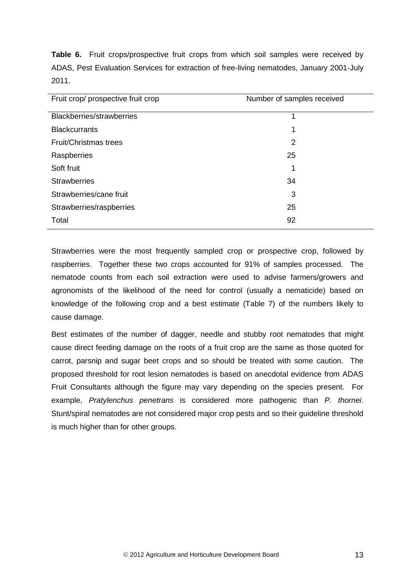**Table 6.** Fruit crops/prospective fruit crops from which soil samples were received by ADAS, Pest Evaluation Services for extraction of free-living nematodes, January 2001-July 2011.

| Fruit crop/ prospective fruit crop | Number of samples received |
|------------------------------------|----------------------------|
| <b>Blackberries/strawberries</b>   | 1                          |
| <b>Blackcurrants</b>               | 1                          |
| Fruit/Christmas trees              | 2                          |
| Raspberries                        | 25                         |
| Soft fruit                         | 1                          |
| <b>Strawberries</b>                | 34                         |
| Strawberries/cane fruit            | 3                          |
| Strawberries/raspberries           | 25                         |
| Total                              | 92                         |

Strawberries were the most frequently sampled crop or prospective crop, followed by raspberries. Together these two crops accounted for 91% of samples processed. The nematode counts from each soil extraction were used to advise farmers/growers and agronomists of the likelihood of the need for control (usually a nematicide) based on knowledge of the following crop and a best estimate (Table 7) of the numbers likely to cause damage.

Best estimates of the number of dagger, needle and stubby root nematodes that might cause direct feeding damage on the roots of a fruit crop are the same as those quoted for carrot, parsnip and sugar beet crops and so should be treated with some caution. The proposed threshold for root lesion nematodes is based on anecdotal evidence from ADAS Fruit Consultants although the figure may vary depending on the species present. For example, *Pratylenchus penetrans* is considered more pathogenic than *P. thornei*. Stunt/spiral nematodes are not considered major crop pests and so their guideline threshold is much higher than for other groups.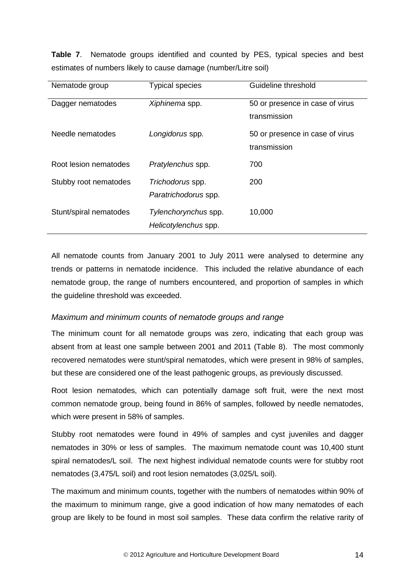**Table 7**. Nematode groups identified and counted by PES, typical species and best estimates of numbers likely to cause damage (number/Litre soil)

| Nematode group         | <b>Typical species</b>                       | Guideline threshold                             |
|------------------------|----------------------------------------------|-------------------------------------------------|
| Dagger nematodes       | Xiphinema spp.                               | 50 or presence in case of virus<br>transmission |
| Needle nematodes       | Longidorus spp.                              | 50 or presence in case of virus<br>transmission |
| Root lesion nematodes  | Pratylenchus spp.                            | 700                                             |
| Stubby root nematodes  | Trichodorus spp.<br>Paratrichodorus spp.     | 200                                             |
| Stunt/spiral nematodes | Tylenchorynchus spp.<br>Helicotylenchus spp. | 10,000                                          |

All nematode counts from January 2001 to July 2011 were analysed to determine any trends or patterns in nematode incidence. This included the relative abundance of each nematode group, the range of numbers encountered, and proportion of samples in which the guideline threshold was exceeded.

#### *Maximum and minimum counts of nematode groups and range*

The minimum count for all nematode groups was zero, indicating that each group was absent from at least one sample between 2001 and 2011 (Table 8). The most commonly recovered nematodes were stunt/spiral nematodes, which were present in 98% of samples, but these are considered one of the least pathogenic groups, as previously discussed.

Root lesion nematodes, which can potentially damage soft fruit, were the next most common nematode group, being found in 86% of samples, followed by needle nematodes, which were present in 58% of samples.

Stubby root nematodes were found in 49% of samples and cyst juveniles and dagger nematodes in 30% or less of samples. The maximum nematode count was 10,400 stunt spiral nematodes/L soil. The next highest individual nematode counts were for stubby root nematodes (3,475/L soil) and root lesion nematodes (3,025/L soil).

The maximum and minimum counts, together with the numbers of nematodes within 90% of the maximum to minimum range, give a good indication of how many nematodes of each group are likely to be found in most soil samples. These data confirm the relative rarity of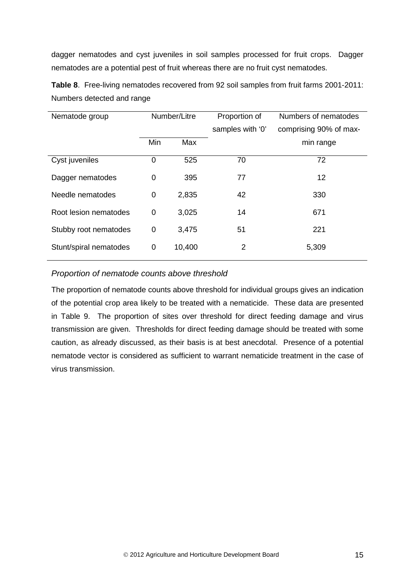dagger nematodes and cyst juveniles in soil samples processed for fruit crops. Dagger nematodes are a potential pest of fruit whereas there are no fruit cyst nematodes.

**Table 8**. Free-living nematodes recovered from 92 soil samples from fruit farms 2001-2011: Numbers detected and range

| Nematode group         | Number/Litre |        | Proportion of    | Numbers of nematodes   |
|------------------------|--------------|--------|------------------|------------------------|
|                        |              |        | samples with '0' | comprising 90% of max- |
|                        | Min          | Max    |                  | min range              |
| Cyst juveniles         | 0            | 525    | 70               | 72                     |
| Dagger nematodes       | 0            | 395    | 77               | 12                     |
| Needle nematodes       | 0            | 2,835  | 42               | 330                    |
| Root lesion nematodes  | 0            | 3,025  | 14               | 671                    |
| Stubby root nematodes  | 0            | 3,475  | 51               | 221                    |
| Stunt/spiral nematodes | 0            | 10,400 | 2                | 5,309                  |

## *Proportion of nematode counts above threshold*

The proportion of nematode counts above threshold for individual groups gives an indication of the potential crop area likely to be treated with a nematicide. These data are presented in Table 9. The proportion of sites over threshold for direct feeding damage and virus transmission are given. Thresholds for direct feeding damage should be treated with some caution, as already discussed, as their basis is at best anecdotal. Presence of a potential nematode vector is considered as sufficient to warrant nematicide treatment in the case of virus transmission.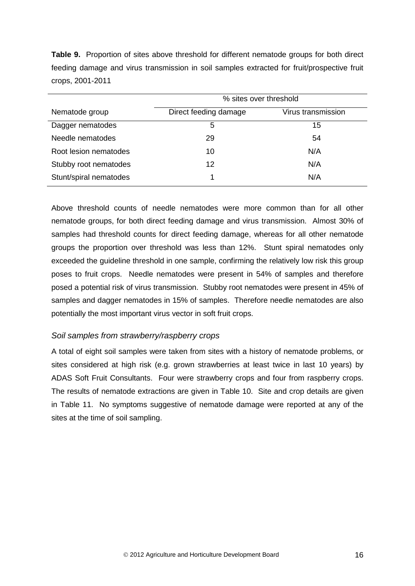**Table 9.** Proportion of sites above threshold for different nematode groups for both direct feeding damage and virus transmission in soil samples extracted for fruit/prospective fruit crops, 2001-2011

|                        | % sites over threshold |                    |  |  |
|------------------------|------------------------|--------------------|--|--|
| Nematode group         | Direct feeding damage  | Virus transmission |  |  |
| Dagger nematodes       | 5                      | 15                 |  |  |
| Needle nematodes       | 29                     | 54                 |  |  |
| Root lesion nematodes  | 10                     | N/A                |  |  |
| Stubby root nematodes  | 12                     | N/A                |  |  |
| Stunt/spiral nematodes |                        | N/A                |  |  |

Above threshold counts of needle nematodes were more common than for all other nematode groups, for both direct feeding damage and virus transmission. Almost 30% of samples had threshold counts for direct feeding damage, whereas for all other nematode groups the proportion over threshold was less than 12%. Stunt spiral nematodes only exceeded the guideline threshold in one sample, confirming the relatively low risk this group poses to fruit crops. Needle nematodes were present in 54% of samples and therefore posed a potential risk of virus transmission. Stubby root nematodes were present in 45% of samples and dagger nematodes in 15% of samples. Therefore needle nematodes are also potentially the most important virus vector in soft fruit crops.

# *Soil samples from strawberry/raspberry crops*

A total of eight soil samples were taken from sites with a history of nematode problems, or sites considered at high risk (e.g. grown strawberries at least twice in last 10 years) by ADAS Soft Fruit Consultants. Four were strawberry crops and four from raspberry crops. The results of nematode extractions are given in Table 10. Site and crop details are given in Table 11. No symptoms suggestive of nematode damage were reported at any of the sites at the time of soil sampling.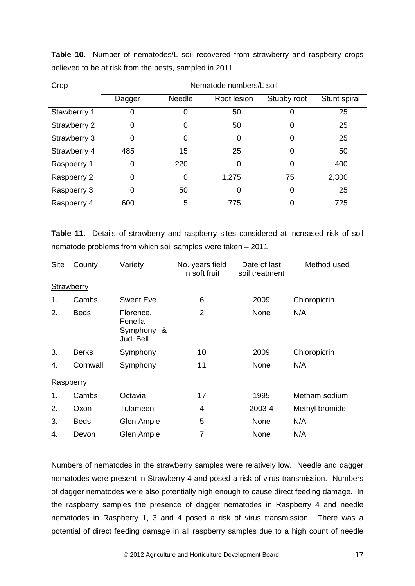| Crop                | Nematode numbers/L soil |               |             |             |              |
|---------------------|-------------------------|---------------|-------------|-------------|--------------|
|                     | Dagger                  | <b>Needle</b> | Root lesion | Stubby root | Stunt spiral |
| Stawberrry 1        | 0                       | 0             | 50          |             | 25           |
| <b>Strawberry 2</b> | 0                       | 0             | 50          | 0           | 25           |
| Strawberry 3        | 0                       | 0             | 0           | 0           | 25           |
| Strawberry 4        | 485                     | 15            | 25          | 0           | 50           |
| Raspberry 1         | 0                       | 220           | 0           | $\Omega$    | 400          |
| Raspberry 2         | 0                       | 0             | 1,275       | 75          | 2,300        |
| Raspberry 3         | 0                       | 50            | 0           | 0           | 25           |
| Raspberry 4         | 600                     | 5             | 775         | 0           | 725          |

**Table 10.** Number of nematodes/L soil recovered from strawberry and raspberry crops believed to be at risk from the pests, sampled in 2011

**Table 11.** Details of strawberry and raspberry sites considered at increased risk of soil nematode problems from which soil samples were taken – 2011

| <b>Site</b> | County       | Variety                                          | No. years field<br>in soft fruit | Date of last<br>soil treatment | Method used    |
|-------------|--------------|--------------------------------------------------|----------------------------------|--------------------------------|----------------|
| Strawberry  |              |                                                  |                                  |                                |                |
| 1.          | Cambs        | Sweet Eve                                        | 6                                | 2009                           | Chloropicrin   |
| 2.          | <b>Beds</b>  | Florence,<br>Fenella,<br>Symphony &<br>Judi Bell | 2                                | None                           | N/A            |
| 3.          | <b>Berks</b> | Symphony                                         | 10                               | 2009                           | Chloropicrin   |
| 4.          | Cornwall     | Symphony                                         | 11                               | None                           | N/A            |
| Raspberry   |              |                                                  |                                  |                                |                |
| 1.          | Cambs        | Octavia                                          | 17                               | 1995                           | Metham sodium  |
| 2.          | Oxon         | Tulameen                                         | 4                                | 2003-4                         | Methyl bromide |
| 3.          | <b>Beds</b>  | Glen Ample                                       | 5                                | None                           | N/A            |
| 4.          | Devon        | Glen Ample                                       | 7                                | None                           | N/A            |

Numbers of nematodes in the strawberry samples were relatively low. Needle and dagger nematodes were present in Strawberry 4 and posed a risk of virus transmission. Numbers of dagger nematodes were also potentially high enough to cause direct feeding damage. In the raspberry samples the presence of dagger nematodes in Raspberry 4 and needle nematodes in Raspberry 1, 3 and 4 posed a risk of virus transmission. There was a potential of direct feeding damage in all raspberry samples due to a high count of needle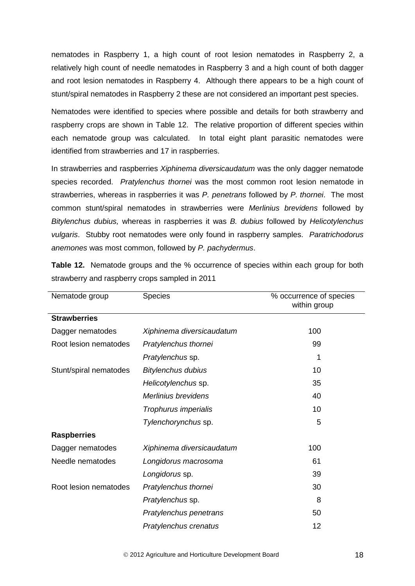nematodes in Raspberry 1, a high count of root lesion nematodes in Raspberry 2, a relatively high count of needle nematodes in Raspberry 3 and a high count of both dagger and root lesion nematodes in Raspberry 4. Although there appears to be a high count of stunt/spiral nematodes in Raspberry 2 these are not considered an important pest species.

Nematodes were identified to species where possible and details for both strawberry and raspberry crops are shown in Table 12. The relative proportion of different species within each nematode group was calculated. In total eight plant parasitic nematodes were identified from strawberries and 17 in raspberries.

In strawberries and raspberries *Xiphinema diversicaudatum* was the only dagger nematode species recorded. *Pratylenchus thornei* was the most common root lesion nematode in strawberries, whereas in raspberries it was *P. penetrans* followed by *P. thornei*. The most common stunt/spiral nematodes in strawberries were *Merlinius brevidens* followed by *Bitylenchus dubius,* whereas in raspberries it was *B. dubius* followed by *Helicotylenchus vulgaris*. Stubby root nematodes were only found in raspberry samples. *Paratrichodorus anemones* was most common, followed by *P. pachydermus*.

| Nematode group         | <b>Species</b>            | % occurrence of species<br>within group |
|------------------------|---------------------------|-----------------------------------------|
| <b>Strawberries</b>    |                           |                                         |
| Dagger nematodes       | Xiphinema diversicaudatum | 100                                     |
| Root lesion nematodes  | Pratylenchus thornei      | 99                                      |
|                        | Pratylenchus sp.          | 1                                       |
| Stunt/spiral nematodes | <b>Bitylenchus dubius</b> | 10                                      |
|                        | Helicotylenchus sp.       | 35                                      |
|                        | Merlinius brevidens       | 40                                      |
|                        | Trophurus imperialis      | 10                                      |
|                        | Tylenchorynchus sp.       | 5                                       |
| <b>Raspberries</b>     |                           |                                         |
| Dagger nematodes       | Xiphinema diversicaudatum | 100                                     |
| Needle nematodes       | Longidorus macrosoma      | 61                                      |
|                        | Longidorus sp.            | 39                                      |
| Root lesion nematodes  | Pratylenchus thornei      | 30                                      |
|                        | Pratylenchus sp.          | 8                                       |
|                        | Pratylenchus penetrans    | 50                                      |
|                        | Pratylenchus crenatus     | 12                                      |

**Table 12.** Nematode groups and the % occurrence of species within each group for both strawberry and raspberry crops sampled in 2011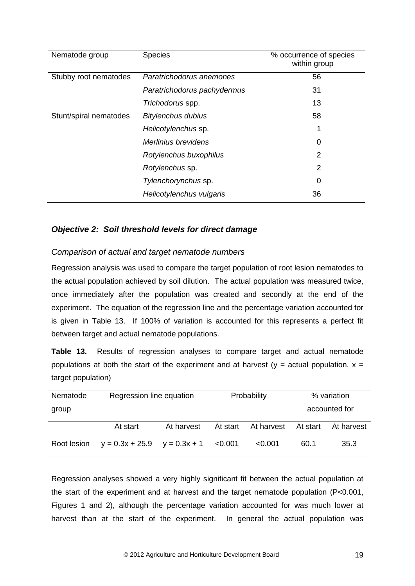| Nematode group         | <b>Species</b>              | % occurrence of species<br>within group |
|------------------------|-----------------------------|-----------------------------------------|
| Stubby root nematodes  | Paratrichodorus anemones    | 56                                      |
|                        | Paratrichodorus pachydermus | 31                                      |
|                        | Trichodorus spp.            | 13                                      |
| Stunt/spiral nematodes | <b>Bitylenchus dubius</b>   | 58                                      |
|                        | Helicotylenchus sp.         | 1                                       |
|                        | Merlinius brevidens         | 0                                       |
|                        | Rotylenchus buxophilus      | 2                                       |
|                        | Rotylenchus sp.             | $\mathcal{P}$                           |
|                        | Tylenchorynchus sp.         | $\Omega$                                |
|                        | Helicotylenchus vulgaris    | 36                                      |

# <span id="page-22-0"></span>*Objective 2: Soil threshold levels for direct damage*

#### *Comparison of actual and target nematode numbers*

Regression analysis was used to compare the target population of root lesion nematodes to the actual population achieved by soil dilution. The actual population was measured twice, once immediately after the population was created and secondly at the end of the experiment. The equation of the regression line and the percentage variation accounted for is given in Table 13. If 100% of variation is accounted for this represents a perfect fit between target and actual nematode populations.

**Table 13.** Results of regression analyses to compare target and actual nematode populations at both the start of the experiment and at harvest ( $y =$  actual population,  $x =$ target population)

| Nematode    |                                         | Regression line equation |          | Probability         |      | % variation   |  |
|-------------|-----------------------------------------|--------------------------|----------|---------------------|------|---------------|--|
| group       |                                         |                          |          |                     |      | accounted for |  |
|             | At start                                | At harvest               | At start | At harvest At start |      | At harvest    |  |
| Root lesion | $y = 0.3x + 25.9$ $y = 0.3x + 1$ <0.001 |                          |          | < 0.001             | 60.1 | 35.3          |  |

Regression analyses showed a very highly significant fit between the actual population at the start of the experiment and at harvest and the target nematode population (P<0.001, Figures 1 and 2), although the percentage variation accounted for was much lower at harvest than at the start of the experiment. In general the actual population was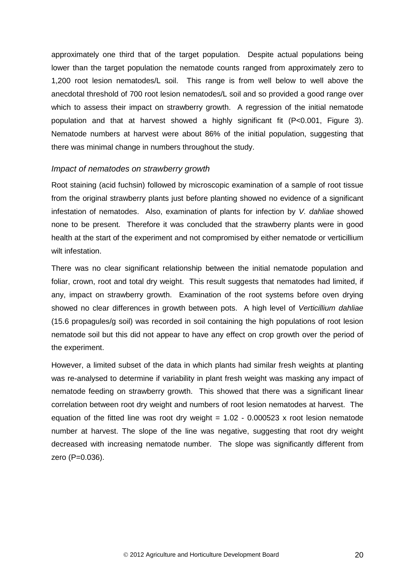approximately one third that of the target population. Despite actual populations being lower than the target population the nematode counts ranged from approximately zero to 1,200 root lesion nematodes/L soil. This range is from well below to well above the anecdotal threshold of 700 root lesion nematodes/L soil and so provided a good range over which to assess their impact on strawberry growth. A regression of the initial nematode population and that at harvest showed a highly significant fit (P<0.001, Figure 3). Nematode numbers at harvest were about 86% of the initial population, suggesting that there was minimal change in numbers throughout the study.

#### *Impact of nematodes on strawberry growth*

Root staining (acid fuchsin) followed by microscopic examination of a sample of root tissue from the original strawberry plants just before planting showed no evidence of a significant infestation of nematodes. Also, examination of plants for infection by *V. dahliae* showed none to be present. Therefore it was concluded that the strawberry plants were in good health at the start of the experiment and not compromised by either nematode or verticillium wilt infestation.

There was no clear significant relationship between the initial nematode population and foliar, crown, root and total dry weight. This result suggests that nematodes had limited, if any, impact on strawberry growth. Examination of the root systems before oven drying showed no clear differences in growth between pots. A high level of *Verticillium dahliae* (15.6 propagules/g soil) was recorded in soil containing the high populations of root lesion nematode soil but this did not appear to have any effect on crop growth over the period of the experiment.

However, a limited subset of the data in which plants had similar fresh weights at planting was re-analysed to determine if variability in plant fresh weight was masking any impact of nematode feeding on strawberry growth. This showed that there was a significant linear correlation between root dry weight and numbers of root lesion nematodes at harvest. The equation of the fitted line was root dry weight  $= 1.02 - 0.000523$  x root lesion nematode number at harvest. The slope of the line was negative, suggesting that root dry weight decreased with increasing nematode number. The slope was significantly different from zero (P=0.036).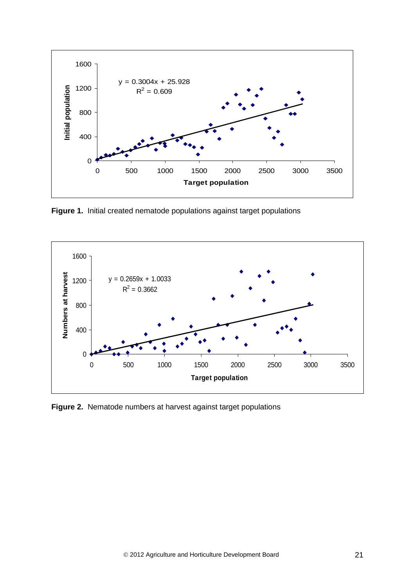

**Figure 1.** Initial created nematode populations against target populations



**Figure 2.** Nematode numbers at harvest against target populations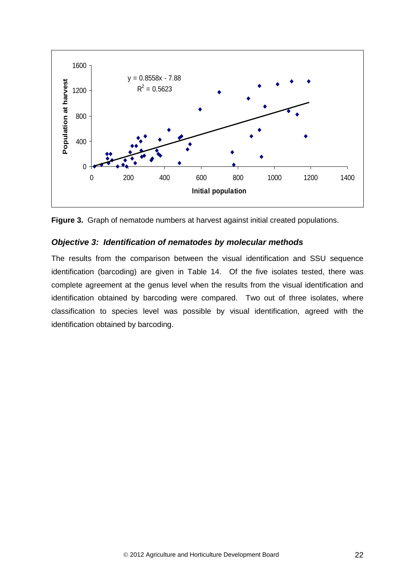



#### <span id="page-25-0"></span>*Objective 3: Identification of nematodes by molecular methods*

The results from the comparison between the visual identification and SSU sequence identification (barcoding) are given in Table 14. Of the five isolates tested, there was complete agreement at the genus level when the results from the visual identification and identification obtained by barcoding were compared. Two out of three isolates, where classification to species level was possible by visual identification, agreed with the identification obtained by barcoding.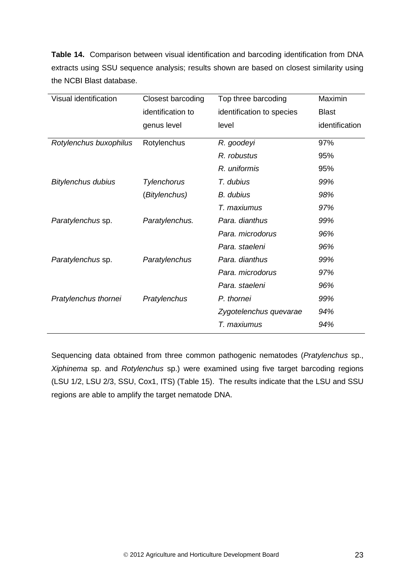**Table 14.** Comparison between visual identification and barcoding identification from DNA extracts using SSU sequence analysis; results shown are based on closest similarity using the NCBI Blast database.

| Visual identification     | <b>Closest barcoding</b> | Top three barcoding       | Maximin        |
|---------------------------|--------------------------|---------------------------|----------------|
|                           | identification to        | identification to species | <b>Blast</b>   |
|                           | genus level              | level                     | identification |
| Rotylenchus buxophilus    | Rotylenchus              | R. goodeyi                | 97%            |
|                           |                          | R. robustus               | 95%            |
|                           |                          | R. uniformis              | 95%            |
| <b>Bitylenchus dubius</b> | <b>Tylenchorus</b>       | T. dubius                 | 99%            |
|                           | (Bitylenchus)            | <b>B.</b> dubius          | 98%            |
|                           |                          | T. maxiumus               | 97%            |
| Paratylenchus sp.         | Paratylenchus.           | Para. dianthus            | 99%            |
|                           |                          | Para, microdorus          | 96%            |
|                           |                          | Para, staeleni            | 96%            |
| Paratylenchus sp.         | Paratylenchus            | Para. dianthus            | 99%            |
|                           |                          | Para, microdorus          | 97%            |
|                           |                          | Para, staeleni            | 96%            |
| Pratylenchus thornei      | Pratylenchus             | P. thornei                | 99%            |
|                           |                          | Zygotelenchus quevarae    | 94%            |
|                           |                          | T. maxiumus               | 94%            |

Sequencing data obtained from three common pathogenic nematodes (*Pratylenchus* sp., *Xiphinema* sp. and *Rotylenchus* sp.) were examined using five target barcoding regions (LSU 1/2, LSU 2/3, SSU, Cox1, ITS) (Table 15). The results indicate that the LSU and SSU regions are able to amplify the target nematode DNA.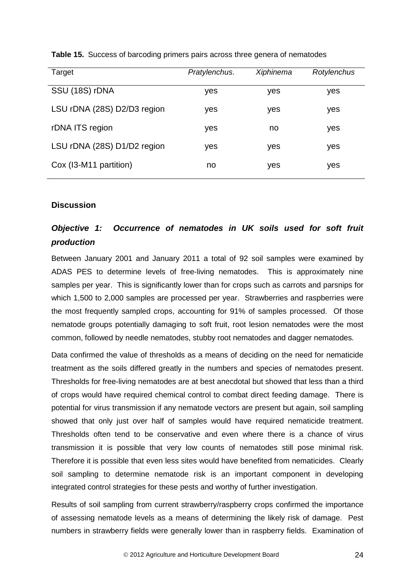| Target                      | Pratylenchus. | Xiphinema | Rotylenchus |
|-----------------------------|---------------|-----------|-------------|
| SSU (18S) rDNA              | yes           | yes       | yes         |
| LSU rDNA (28S) D2/D3 region | yes           | yes       | yes         |
| rDNA ITS region             | yes           | no        | yes         |
| LSU rDNA (28S) D1/D2 region | yes           | yes       | yes         |
| Cox (I3-M11 partition)      | no            | yes       | yes         |

**Table 15.** Success of barcoding primers pairs across three genera of nematodes

#### <span id="page-27-0"></span>**Discussion**

# <span id="page-27-1"></span>*Objective 1: Occurrence of nematodes in UK soils used for soft fruit production*

Between January 2001 and January 2011 a total of 92 soil samples were examined by ADAS PES to determine levels of free-living nematodes. This is approximately nine samples per year. This is significantly lower than for crops such as carrots and parsnips for which 1,500 to 2,000 samples are processed per year. Strawberries and raspberries were the most frequently sampled crops, accounting for 91% of samples processed. Of those nematode groups potentially damaging to soft fruit, root lesion nematodes were the most common, followed by needle nematodes, stubby root nematodes and dagger nematodes.

Data confirmed the value of thresholds as a means of deciding on the need for nematicide treatment as the soils differed greatly in the numbers and species of nematodes present. Thresholds for free-living nematodes are at best anecdotal but showed that less than a third of crops would have required chemical control to combat direct feeding damage. There is potential for virus transmission if any nematode vectors are present but again, soil sampling showed that only just over half of samples would have required nematicide treatment. Thresholds often tend to be conservative and even where there is a chance of virus transmission it is possible that very low counts of nematodes still pose minimal risk. Therefore it is possible that even less sites would have benefited from nematicides. Clearly soil sampling to determine nematode risk is an important component in developing integrated control strategies for these pests and worthy of further investigation.

Results of soil sampling from current strawberry/raspberry crops confirmed the importance of assessing nematode levels as a means of determining the likely risk of damage. Pest numbers in strawberry fields were generally lower than in raspberry fields. Examination of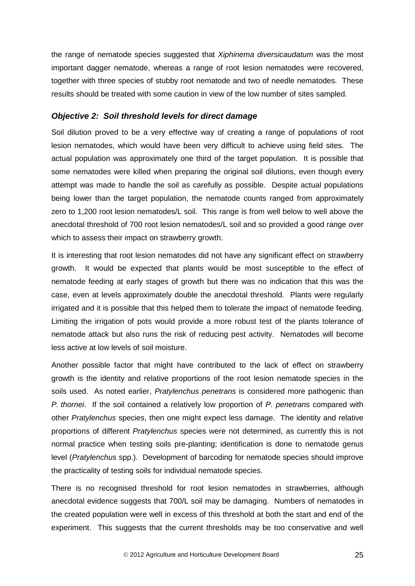the range of nematode species suggested that *Xiphinema diversicaudatum* was the most important dagger nematode, whereas a range of root lesion nematodes were recovered, together with three species of stubby root nematode and two of needle nematodes. These results should be treated with some caution in view of the low number of sites sampled.

#### <span id="page-28-0"></span>*Objective 2: Soil threshold levels for direct damage*

Soil dilution proved to be a very effective way of creating a range of populations of root lesion nematodes, which would have been very difficult to achieve using field sites. The actual population was approximately one third of the target population. It is possible that some nematodes were killed when preparing the original soil dilutions, even though every attempt was made to handle the soil as carefully as possible. Despite actual populations being lower than the target population, the nematode counts ranged from approximately zero to 1,200 root lesion nematodes/L soil. This range is from well below to well above the anecdotal threshold of 700 root lesion nematodes/L soil and so provided a good range over which to assess their impact on strawberry growth.

It is interesting that root lesion nematodes did not have any significant effect on strawberry growth. It would be expected that plants would be most susceptible to the effect of nematode feeding at early stages of growth but there was no indication that this was the case, even at levels approximately double the anecdotal threshold. Plants were regularly irrigated and it is possible that this helped them to tolerate the impact of nematode feeding. Limiting the irrigation of pots would provide a more robust test of the plants tolerance of nematode attack but also runs the risk of reducing pest activity. Nematodes will become less active at low levels of soil moisture.

Another possible factor that might have contributed to the lack of effect on strawberry growth is the identity and relative proportions of the root lesion nematode species in the soils used. As noted earlier, *Pratylenchus penetrans* is considered more pathogenic than *P. thornei*. If the soil contained a relatively low proportion of *P. penetrans* compared with other *Pratylenchus* species, then one might expect less damage. The identity and relative proportions of different *Pratylenchus* species were not determined, as currently this is not normal practice when testing soils pre-planting; identification is done to nematode genus level (*Pratylenchus* spp.). Development of barcoding for nematode species should improve the practicality of testing soils for individual nematode species.

There is no recognised threshold for root lesion nematodes in strawberries, although anecdotal evidence suggests that 700/L soil may be damaging. Numbers of nematodes in the created population were well in excess of this threshold at both the start and end of the experiment. This suggests that the current thresholds may be too conservative and well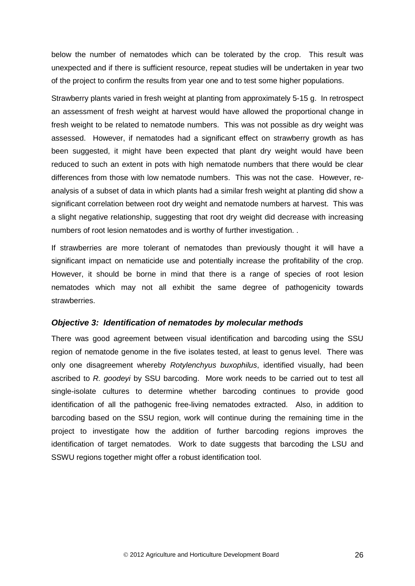below the number of nematodes which can be tolerated by the crop. This result was unexpected and if there is sufficient resource, repeat studies will be undertaken in year two of the project to confirm the results from year one and to test some higher populations.

Strawberry plants varied in fresh weight at planting from approximately 5-15 g. In retrospect an assessment of fresh weight at harvest would have allowed the proportional change in fresh weight to be related to nematode numbers. This was not possible as dry weight was assessed. However, if nematodes had a significant effect on strawberry growth as has been suggested, it might have been expected that plant dry weight would have been reduced to such an extent in pots with high nematode numbers that there would be clear differences from those with low nematode numbers. This was not the case. However, reanalysis of a subset of data in which plants had a similar fresh weight at planting did show a significant correlation between root dry weight and nematode numbers at harvest. This was a slight negative relationship, suggesting that root dry weight did decrease with increasing numbers of root lesion nematodes and is worthy of further investigation. .

If strawberries are more tolerant of nematodes than previously thought it will have a significant impact on nematicide use and potentially increase the profitability of the crop. However, it should be borne in mind that there is a range of species of root lesion nematodes which may not all exhibit the same degree of pathogenicity towards strawberries.

#### <span id="page-29-0"></span>*Objective 3: Identification of nematodes by molecular methods*

<span id="page-29-1"></span>There was good agreement between visual identification and barcoding using the SSU region of nematode genome in the five isolates tested, at least to genus level. There was only one disagreement whereby *Rotylenchyus buxophilus*, identified visually, had been ascribed to *R. goodeyi* by SSU barcoding. More work needs to be carried out to test all single-isolate cultures to determine whether barcoding continues to provide good identification of all the pathogenic free-living nematodes extracted. Also, in addition to barcoding based on the SSU region, work will continue during the remaining time in the project to investigate how the addition of further barcoding regions improves the identification of target nematodes. Work to date suggests that barcoding the LSU and SSWU regions together might offer a robust identification tool.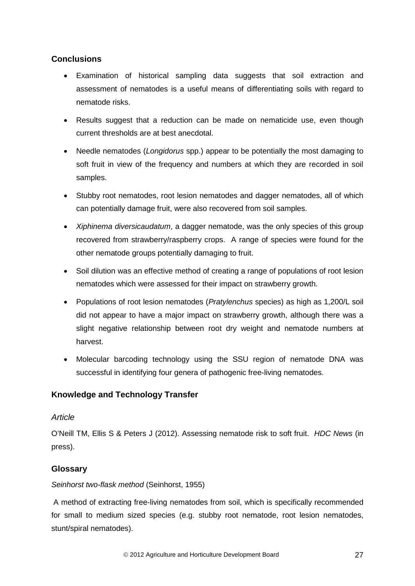# **Conclusions**

- Examination of historical sampling data suggests that soil extraction and assessment of nematodes is a useful means of differentiating soils with regard to nematode risks.
- Results suggest that a reduction can be made on nematicide use, even though current thresholds are at best anecdotal.
- Needle nematodes (*Longidorus* spp.) appear to be potentially the most damaging to soft fruit in view of the frequency and numbers at which they are recorded in soil samples.
- Stubby root nematodes, root lesion nematodes and dagger nematodes, all of which can potentially damage fruit, were also recovered from soil samples.
- *Xiphinema diversicaudatum*, a dagger nematode, was the only species of this group recovered from strawberry/raspberry crops. A range of species were found for the other nematode groups potentially damaging to fruit.
- Soil dilution was an effective method of creating a range of populations of root lesion nematodes which were assessed for their impact on strawberry growth.
- Populations of root lesion nematodes (*Pratylenchus* species) as high as 1,200/L soil did not appear to have a major impact on strawberry growth, although there was a slight negative relationship between root dry weight and nematode numbers at harvest.
- Molecular barcoding technology using the SSU region of nematode DNA was successful in identifying four genera of pathogenic free-living nematodes.

# <span id="page-30-0"></span>**Knowledge and Technology Transfer**

# *Article*

O'Neill TM, Ellis S & Peters J (2012). Assessing nematode risk to soft fruit. *HDC News* (in press).

# <span id="page-30-1"></span>**Glossary**

# *Seinhorst two-flask method* (Seinhorst, 1955)

A method of extracting free-living nematodes from soil, which is specifically recommended for small to medium sized species (e.g. stubby root nematode, root lesion nematodes, stunt/spiral nematodes).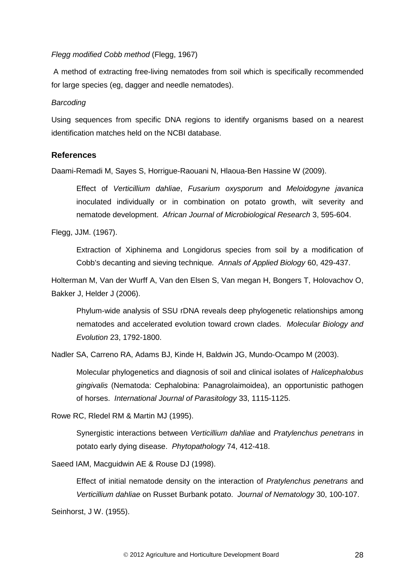#### *Flegg modified Cobb method* (Flegg, 1967)

A method of extracting free-living nematodes from soil which is specifically recommended for large species (eg, dagger and needle nematodes).

#### *Barcoding*

Using sequences from specific DNA regions to identify organisms based on a nearest identification matches held on the NCBI database.

#### <span id="page-31-0"></span>**References**

Daami-Remadi M, Sayes S, Horrigue-Raouani N, Hlaoua-Ben Hassine W (2009).

Effect of *Verticillium dahliae*, *Fusarium oxysporum* and *Meloidogyne javanica* inoculated individually or in combination on potato growth, wilt severity and nematode development. *African Journal of Microbiological Research* 3, 595-604.

Flegg, JJM. (1967).

Extraction of Xiphinema and Longidorus species from soil by a modification of Cobb's decanting and sieving technique*. Annals of Applied Biology* 60, 429-437.

Holterman M, Van der Wurff A, Van den Elsen S, Van megan H, Bongers T, Holovachov O, Bakker J, Helder J (2006).

Phylum-wide analysis of SSU rDNA reveals deep phylogenetic relationships among nematodes and accelerated evolution toward crown clades. *Molecular Biology and Evolution* 23, 1792-1800.

Nadler SA, Carreno RA, Adams BJ, Kinde H, Baldwin JG, Mundo-Ocampo M (2003).

Molecular phylogenetics and diagnosis of soil and clinical isolates of *Halicephalobus gingivalis* (Nematoda: Cephalobina: Panagrolaimoidea), an opportunistic pathogen of horses. *International Journal of Parasitology* 33, 1115-1125.

Rowe RC, Rledel RM & Martin MJ (1995).

Synergistic interactions between *Verticillium dahliae* and *Pratylenchus penetrans* in potato early dying disease. *Phytopathology* 74, 412-418.

Saeed IAM, Macguidwin AE & Rouse DJ (1998).

Effect of initial nematode density on the interaction of *Pratylenchus penetrans* and *Verticillium dahliae* on Russet Burbank potato. *Journal of Nematology* 30, 100-107.

Seinhorst, J W. (1955).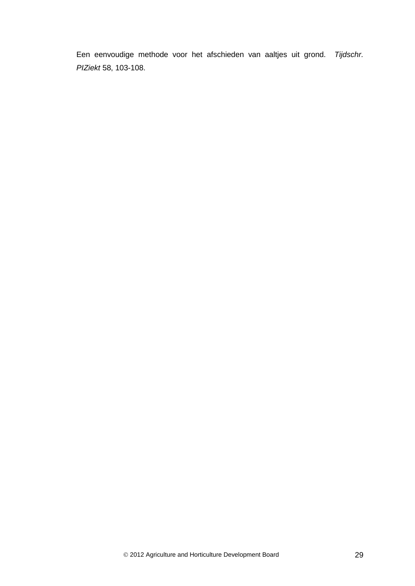Een eenvoudige methode voor het afschieden van aaltjes uit grond. *Tijdschr. PIZiekt* 58, 103-108.